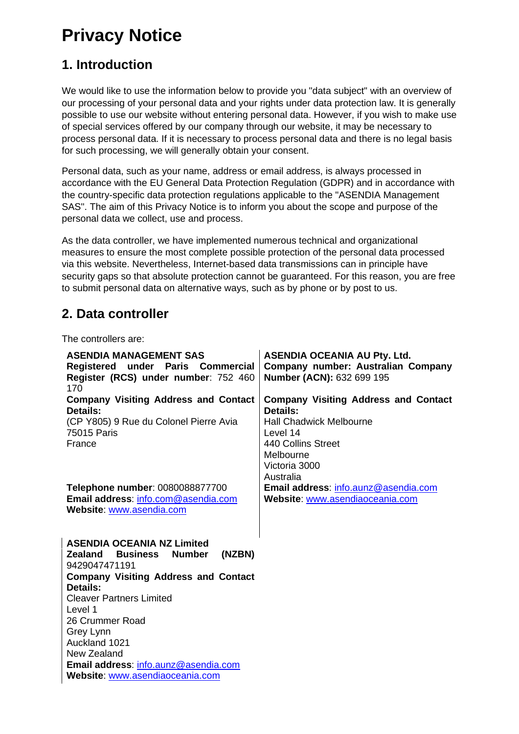# **Privacy Notice**

## **1. Introduction**

We would like to use the information below to provide you "data subject" with an overview of our processing of your personal data and your rights under data protection law. It is generally possible to use our website without entering personal data. However, if you wish to make use of special services offered by our company through our website, it may be necessary to process personal data. If it is necessary to process personal data and there is no legal basis for such processing, we will generally obtain your consent.

Personal data, such as your name, address or email address, is always processed in accordance with the EU General Data Protection Regulation (GDPR) and in accordance with the country-specific data protection regulations applicable to the "ASENDIA Management SAS". The aim of this Privacy Notice is to inform you about the scope and purpose of the personal data we collect, use and process.

As the data controller, we have implemented numerous technical and organizational measures to ensure the most complete possible protection of the personal data processed via this website. Nevertheless, Internet-based data transmissions can in principle have security gaps so that absolute protection cannot be guaranteed. For this reason, you are free to submit personal data on alternative ways, such as by phone or by post to us.

## **2. Data controller**

The controllers are:

| <b>ASENDIA MANAGEMENT SAS</b><br>Registered under Paris Commercial<br>Register (RCS) under number: 752 460<br>170 | <b>ASENDIA OCEANIA AU Pty. Ltd.</b><br>Company number: Australian Company<br>Number (ACN): 632 699 195                  |
|-------------------------------------------------------------------------------------------------------------------|-------------------------------------------------------------------------------------------------------------------------|
| <b>Company Visiting Address and Contact</b>                                                                       | <b>Company Visiting Address and Contact</b>                                                                             |
| Details:<br>(CP Y805) 9 Rue du Colonel Pierre Avia<br><b>75015 Paris</b><br>France                                | Details:<br><b>Hall Chadwick Melbourne</b><br>Level 14<br>440 Collins Street<br>Melbourne<br>Victoria 3000<br>Australia |
| Telephone number: 0080088877700                                                                                   | Email address: info.aunz@asendia.com                                                                                    |
| Email address: info.com@asendia.com<br>Website: www.asendia.com                                                   | Website: www.asendiaoceania.com                                                                                         |
| <b>ASENDIA OCEANIA NZ Limited</b><br>Zealand<br>Business<br>(NZBN)<br><b>Number</b><br>9429047471191              |                                                                                                                         |
| <b>Company Visiting Address and Contact</b>                                                                       |                                                                                                                         |
| Details:                                                                                                          |                                                                                                                         |
| <b>Cleaver Partners Limited</b>                                                                                   |                                                                                                                         |
| Level 1                                                                                                           |                                                                                                                         |
| 26 Crummer Road                                                                                                   |                                                                                                                         |
| <b>Grey Lynn</b><br>Auckland 1021                                                                                 |                                                                                                                         |
| New Zealand                                                                                                       |                                                                                                                         |
| Email address: info.aunz@asendia.com                                                                              |                                                                                                                         |
| Website: www.asendiaoceania.com                                                                                   |                                                                                                                         |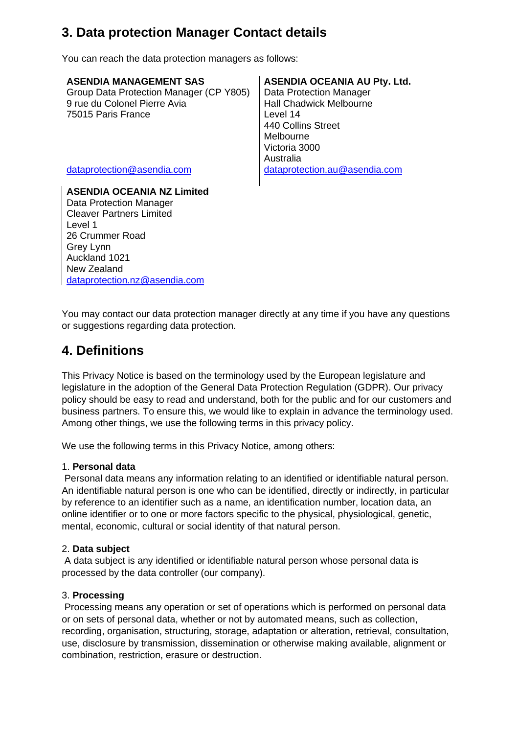## **3. Data protection Manager Contact details**

You can reach the data protection managers as follows:

Group Data Protection Manager (CP Y805) 9 rue du Colonel Pierre Avia 75015 Paris France

**ASENDIA OCEANIA NZ Limited** Data Protection Manager Cleaver Partners Limited Level 1 26 Crummer Road Grey Lynn Auckland 1021 New Zealand [dataprotection.nz@asendia.com](mailto:dataprotection.nz@asendia.com)

## **ASENDIA MANAGEMENT SAS ASENDIA OCEANIA AU Pty. Ltd.**

Data Protection Manager Hall Chadwick Melbourne Level 14 440 Collins Street Melbourne Victoria 3000 Australia [dataprotection@asendia.com](mailto:dataprotection@asendia.com) [dataprotection.au@asendia.com](mailto:dataprotection.au@asendia.com)

You may contact our data protection manager directly at any time if you have any questions or suggestions regarding data protection.

## **4. Definitions**

This Privacy Notice is based on the terminology used by the European legislature and legislature in the adoption of the General Data Protection Regulation (GDPR). Our privacy policy should be easy to read and understand, both for the public and for our customers and business partners. To ensure this, we would like to explain in advance the terminology used. Among other things, we use the following terms in this privacy policy.

We use the following terms in this Privacy Notice, among others:

## 1. **Personal data**

Personal data means any information relating to an identified or identifiable natural person. An identifiable natural person is one who can be identified, directly or indirectly, in particular by reference to an identifier such as a name, an identification number, location data, an online identifier or to one or more factors specific to the physical, physiological, genetic, mental, economic, cultural or social identity of that natural person.

## 2. **Data subject**

A data subject is any identified or identifiable natural person whose personal data is processed by the data controller (our company).

## 3. **Processing**

Processing means any operation or set of operations which is performed on personal data or on sets of personal data, whether or not by automated means, such as collection, recording, organisation, structuring, storage, adaptation or alteration, retrieval, consultation, use, disclosure by transmission, dissemination or otherwise making available, alignment or combination, restriction, erasure or destruction.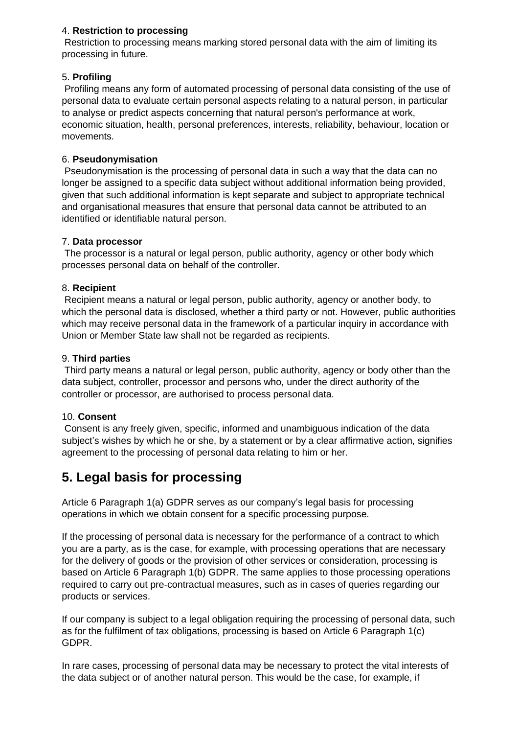#### 4. **Restriction to processing**

Restriction to processing means marking stored personal data with the aim of limiting its processing in future.

## 5. **Profiling**

Profiling means any form of automated processing of personal data consisting of the use of personal data to evaluate certain personal aspects relating to a natural person, in particular to analyse or predict aspects concerning that natural person's performance at work, economic situation, health, personal preferences, interests, reliability, behaviour, location or movements.

#### 6. **Pseudonymisation**

Pseudonymisation is the processing of personal data in such a way that the data can no longer be assigned to a specific data subject without additional information being provided, given that such additional information is kept separate and subject to appropriate technical and organisational measures that ensure that personal data cannot be attributed to an identified or identifiable natural person.

#### 7. **Data processor**

The processor is a natural or legal person, public authority, agency or other body which processes personal data on behalf of the controller.

#### 8. **Recipient**

Recipient means a natural or legal person, public authority, agency or another body, to which the personal data is disclosed, whether a third party or not. However, public authorities which may receive personal data in the framework of a particular inquiry in accordance with Union or Member State law shall not be regarded as recipients.

#### 9. **Third parties**

Third party means a natural or legal person, public authority, agency or body other than the data subject, controller, processor and persons who, under the direct authority of the controller or processor, are authorised to process personal data.

#### 10. **Consent**

Consent is any freely given, specific, informed and unambiguous indication of the data subject's wishes by which he or she, by a statement or by a clear affirmative action, signifies agreement to the processing of personal data relating to him or her.

## **5. Legal basis for processing**

Article 6 Paragraph 1(a) GDPR serves as our company's legal basis for processing operations in which we obtain consent for a specific processing purpose.

If the processing of personal data is necessary for the performance of a contract to which you are a party, as is the case, for example, with processing operations that are necessary for the delivery of goods or the provision of other services or consideration, processing is based on Article 6 Paragraph 1(b) GDPR. The same applies to those processing operations required to carry out pre-contractual measures, such as in cases of queries regarding our products or services.

If our company is subject to a legal obligation requiring the processing of personal data, such as for the fulfilment of tax obligations, processing is based on Article 6 Paragraph 1(c) GDPR.

In rare cases, processing of personal data may be necessary to protect the vital interests of the data subject or of another natural person. This would be the case, for example, if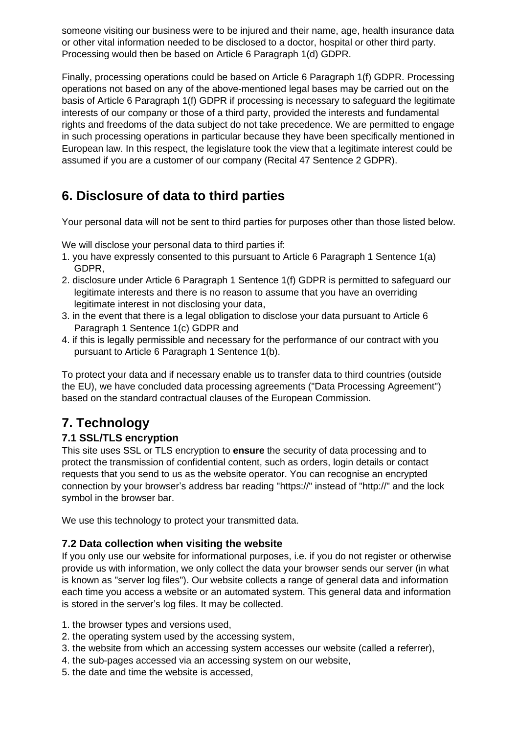someone visiting our business were to be injured and their name, age, health insurance data or other vital information needed to be disclosed to a doctor, hospital or other third party. Processing would then be based on Article 6 Paragraph 1(d) GDPR.

Finally, processing operations could be based on Article 6 Paragraph 1(f) GDPR. Processing operations not based on any of the above-mentioned legal bases may be carried out on the basis of Article 6 Paragraph 1(f) GDPR if processing is necessary to safeguard the legitimate interests of our company or those of a third party, provided the interests and fundamental rights and freedoms of the data subject do not take precedence. We are permitted to engage in such processing operations in particular because they have been specifically mentioned in European law. In this respect, the legislature took the view that a legitimate interest could be assumed if you are a customer of our company (Recital 47 Sentence 2 GDPR).

## **6. Disclosure of data to third parties**

Your personal data will not be sent to third parties for purposes other than those listed below.

We will disclose your personal data to third parties if:

- 1. you have expressly consented to this pursuant to Article 6 Paragraph 1 Sentence 1(a) GDPR,
- 2. disclosure under Article 6 Paragraph 1 Sentence 1(f) GDPR is permitted to safeguard our legitimate interests and there is no reason to assume that you have an overriding legitimate interest in not disclosing your data,
- 3. in the event that there is a legal obligation to disclose your data pursuant to Article 6 Paragraph 1 Sentence 1(c) GDPR and
- 4. if this is legally permissible and necessary for the performance of our contract with you pursuant to Article 6 Paragraph 1 Sentence 1(b).

To protect your data and if necessary enable us to transfer data to third countries (outside the EU), we have concluded data processing agreements ("Data Processing Agreement") based on the standard contractual clauses of the European Commission.

## **7. Technology**

## **7.1 SSL/TLS encryption**

This site uses SSL or TLS encryption to **ensure** the security of data processing and to protect the transmission of confidential content, such as orders, login details or contact requests that you send to us as the website operator. You can recognise an encrypted connection by your browser's address bar reading "https://" instead of "http://" and the lock symbol in the browser bar.

We use this technology to protect your transmitted data.

## **7.2 Data collection when visiting the website**

If you only use our website for informational purposes, i.e. if you do not register or otherwise provide us with information, we only collect the data your browser sends our server (in what is known as "server log files"). Our website collects a range of general data and information each time you access a website or an automated system. This general data and information is stored in the server's log files. It may be collected.

- 1. the browser types and versions used,
- 2. the operating system used by the accessing system,
- 3. the website from which an accessing system accesses our website (called a referrer),
- 4. the sub-pages accessed via an accessing system on our website,
- 5. the date and time the website is accessed,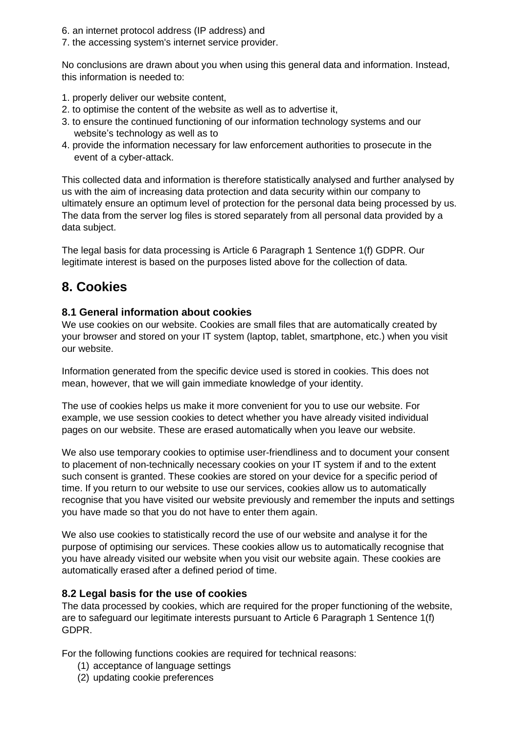- 6. an internet protocol address (IP address) and
- 7. the accessing system's internet service provider.

No conclusions are drawn about you when using this general data and information. Instead, this information is needed to:

- 1. properly deliver our website content,
- 2. to optimise the content of the website as well as to advertise it,
- 3. to ensure the continued functioning of our information technology systems and our website's technology as well as to
- 4. provide the information necessary for law enforcement authorities to prosecute in the event of a cyber-attack.

This collected data and information is therefore statistically analysed and further analysed by us with the aim of increasing data protection and data security within our company to ultimately ensure an optimum level of protection for the personal data being processed by us. The data from the server log files is stored separately from all personal data provided by a data subject.

The legal basis for data processing is Article 6 Paragraph 1 Sentence 1(f) GDPR. Our legitimate interest is based on the purposes listed above for the collection of data.

## **8. Cookies**

## **8.1 General information about cookies**

We use cookies on our website. Cookies are small files that are automatically created by your browser and stored on your IT system (laptop, tablet, smartphone, etc.) when you visit our website.

Information generated from the specific device used is stored in cookies. This does not mean, however, that we will gain immediate knowledge of your identity.

The use of cookies helps us make it more convenient for you to use our website. For example, we use session cookies to detect whether you have already visited individual pages on our website. These are erased automatically when you leave our website.

We also use temporary cookies to optimise user-friendliness and to document your consent to placement of non-technically necessary cookies on your IT system if and to the extent such consent is granted. These cookies are stored on your device for a specific period of time. If you return to our website to use our services, cookies allow us to automatically recognise that you have visited our website previously and remember the inputs and settings you have made so that you do not have to enter them again.

We also use cookies to statistically record the use of our website and analyse it for the purpose of optimising our services. These cookies allow us to automatically recognise that you have already visited our website when you visit our website again. These cookies are automatically erased after a defined period of time.

## **8.2 Legal basis for the use of cookies**

The data processed by cookies, which are required for the proper functioning of the website, are to safeguard our legitimate interests pursuant to Article 6 Paragraph 1 Sentence 1(f) GDPR.

For the following functions cookies are required for technical reasons:

- (1) acceptance of language settings
- (2) updating cookie preferences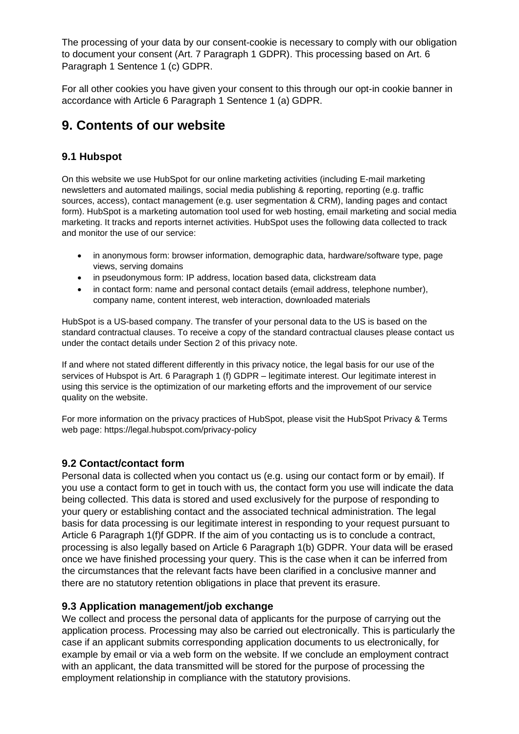The processing of your data by our consent-cookie is necessary to comply with our obligation to document your consent (Art. 7 Paragraph 1 GDPR). This processing based on Art. 6 Paragraph 1 Sentence 1 (c) GDPR.

For all other cookies you have given your consent to this through our opt-in cookie banner in accordance with Article 6 Paragraph 1 Sentence 1 (a) GDPR.

## **9. Contents of our website**

## **9.1 Hubspot**

On this website we use HubSpot for our online marketing activities (including E-mail marketing newsletters and automated mailings, social media publishing & reporting, reporting (e.g. traffic sources, access), contact management (e.g. user segmentation & CRM), landing pages and contact form). HubSpot is a marketing automation tool used for web hosting, email marketing and social media marketing. It tracks and reports internet activities. HubSpot uses the following data collected to track and monitor the use of our service:

- in anonymous form: browser information, demographic data, hardware/software type, page views, serving domains
- in pseudonymous form: IP address, location based data, clickstream data
- in contact form: name and personal contact details (email address, telephone number), company name, content interest, web interaction, downloaded materials

HubSpot is a US-based company. The transfer of your personal data to the US is based on the standard contractual clauses. To receive a copy of the standard contractual clauses please contact us under the contact details under Section 2 of this privacy note.

If and where not stated different differently in this privacy notice, the legal basis for our use of the services of Hubspot is Art. 6 Paragraph 1 (f) GDPR – legitimate interest. Our legitimate interest in using this service is the optimization of our marketing efforts and the improvement of our service quality on the website.

For more information on the privacy practices of HubSpot, please visit the HubSpot Privacy & Terms web page: https://legal.hubspot.com/privacy-policy

## **9.2 Contact/contact form**

Personal data is collected when you contact us (e.g. using our contact form or by email). If you use a contact form to get in touch with us, the contact form you use will indicate the data being collected. This data is stored and used exclusively for the purpose of responding to your query or establishing contact and the associated technical administration. The legal basis for data processing is our legitimate interest in responding to your request pursuant to Article 6 Paragraph 1(f)f GDPR. If the aim of you contacting us is to conclude a contract, processing is also legally based on Article 6 Paragraph 1(b) GDPR. Your data will be erased once we have finished processing your query. This is the case when it can be inferred from the circumstances that the relevant facts have been clarified in a conclusive manner and there are no statutory retention obligations in place that prevent its erasure.

## **9.3 Application management/job exchange**

We collect and process the personal data of applicants for the purpose of carrying out the application process. Processing may also be carried out electronically. This is particularly the case if an applicant submits corresponding application documents to us electronically, for example by email or via a web form on the website. If we conclude an employment contract with an applicant, the data transmitted will be stored for the purpose of processing the employment relationship in compliance with the statutory provisions.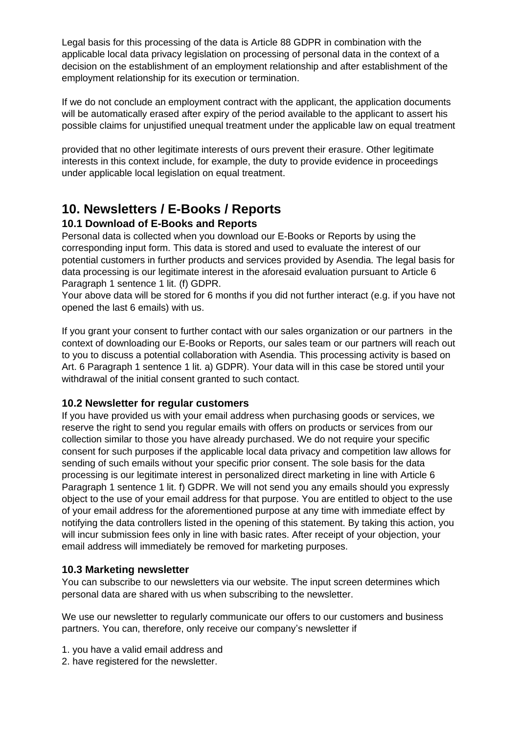Legal basis for this processing of the data is Article 88 GDPR in combination with the applicable local data privacy legislation on processing of personal data in the context of a decision on the establishment of an employment relationship and after establishment of the employment relationship for its execution or termination.

If we do not conclude an employment contract with the applicant, the application documents will be automatically erased after expiry of the period available to the applicant to assert his possible claims for unjustified unequal treatment under the applicable law on equal treatment

provided that no other legitimate interests of ours prevent their erasure. Other legitimate interests in this context include, for example, the duty to provide evidence in proceedings under applicable local legislation on equal treatment.

## **10. Newsletters / E-Books / Reports**

## **10.1 Download of E-Books and Reports**

Personal data is collected when you download our E-Books or Reports by using the corresponding input form. This data is stored and used to evaluate the interest of our potential customers in further products and services provided by Asendia. The legal basis for data processing is our legitimate interest in the aforesaid evaluation pursuant to Article 6 Paragraph 1 sentence 1 lit. (f) GDPR.

Your above data will be stored for 6 months if you did not further interact (e.g. if you have not opened the last 6 emails) with us.

If you grant your consent to further contact with our sales organization or our partners in the context of downloading our E-Books or Reports, our sales team or our partners will reach out to you to discuss a potential collaboration with Asendia. This processing activity is based on Art. 6 Paragraph 1 sentence 1 lit. a) GDPR). Your data will in this case be stored until your withdrawal of the initial consent granted to such contact.

## **10.2 Newsletter for regular customers**

If you have provided us with your email address when purchasing goods or services, we reserve the right to send you regular emails with offers on products or services from our collection similar to those you have already purchased. We do not require your specific consent for such purposes if the applicable local data privacy and competition law allows for sending of such emails without your specific prior consent. The sole basis for the data processing is our legitimate interest in personalized direct marketing in line with Article 6 Paragraph 1 sentence 1 lit. f) GDPR. We will not send you any emails should you expressly object to the use of your email address for that purpose. You are entitled to object to the use of your email address for the aforementioned purpose at any time with immediate effect by notifying the data controllers listed in the opening of this statement. By taking this action, you will incur submission fees only in line with basic rates. After receipt of your objection, your email address will immediately be removed for marketing purposes.

## **10.3 Marketing newsletter**

You can subscribe to our newsletters via our website. The input screen determines which personal data are shared with us when subscribing to the newsletter.

We use our newsletter to regularly communicate our offers to our customers and business partners. You can, therefore, only receive our company's newsletter if

- 1. you have a valid email address and
- 2. have registered for the newsletter.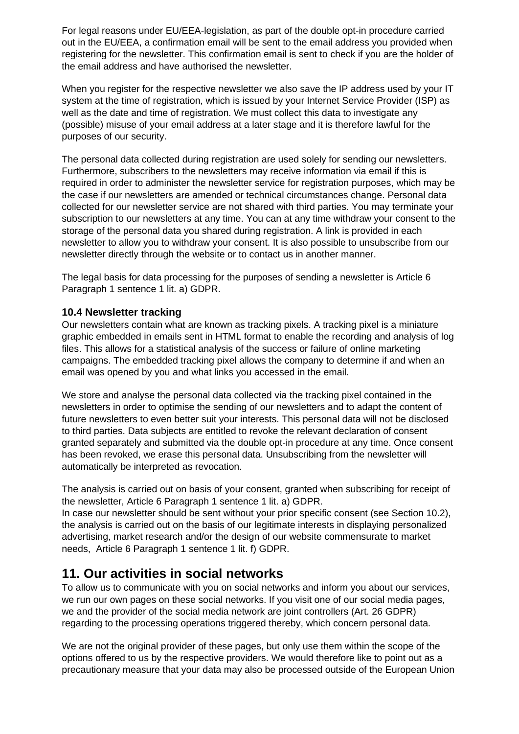For legal reasons under EU/EEA-legislation, as part of the double opt-in procedure carried out in the EU/EEA, a confirmation email will be sent to the email address you provided when registering for the newsletter. This confirmation email is sent to check if you are the holder of the email address and have authorised the newsletter.

When you register for the respective newsletter we also save the IP address used by your IT system at the time of registration, which is issued by your Internet Service Provider (ISP) as well as the date and time of registration. We must collect this data to investigate any (possible) misuse of your email address at a later stage and it is therefore lawful for the purposes of our security.

The personal data collected during registration are used solely for sending our newsletters. Furthermore, subscribers to the newsletters may receive information via email if this is required in order to administer the newsletter service for registration purposes, which may be the case if our newsletters are amended or technical circumstances change. Personal data collected for our newsletter service are not shared with third parties. You may terminate your subscription to our newsletters at any time. You can at any time withdraw your consent to the storage of the personal data you shared during registration. A link is provided in each newsletter to allow you to withdraw your consent. It is also possible to unsubscribe from our newsletter directly through the website or to contact us in another manner.

The legal basis for data processing for the purposes of sending a newsletter is Article 6 Paragraph 1 sentence 1 lit. a) GDPR.

## **10.4 Newsletter tracking**

Our newsletters contain what are known as tracking pixels. A tracking pixel is a miniature graphic embedded in emails sent in HTML format to enable the recording and analysis of log files. This allows for a statistical analysis of the success or failure of online marketing campaigns. The embedded tracking pixel allows the company to determine if and when an email was opened by you and what links you accessed in the email.

We store and analyse the personal data collected via the tracking pixel contained in the newsletters in order to optimise the sending of our newsletters and to adapt the content of future newsletters to even better suit your interests. This personal data will not be disclosed to third parties. Data subjects are entitled to revoke the relevant declaration of consent granted separately and submitted via the double opt-in procedure at any time. Once consent has been revoked, we erase this personal data. Unsubscribing from the newsletter will automatically be interpreted as revocation.

The analysis is carried out on basis of your consent, granted when subscribing for receipt of the newsletter, Article 6 Paragraph 1 sentence 1 lit. a) GDPR.

In case our newsletter should be sent without your prior specific consent (see Section 10.2), the analysis is carried out on the basis of our legitimate interests in displaying personalized advertising, market research and/or the design of our website commensurate to market needs, Article 6 Paragraph 1 sentence 1 lit. f) GDPR.

## **11. Our activities in social networks**

To allow us to communicate with you on social networks and inform you about our services, we run our own pages on these social networks. If you visit one of our social media pages, we and the provider of the social media network are joint controllers (Art. 26 GDPR) regarding to the processing operations triggered thereby, which concern personal data.

We are not the original provider of these pages, but only use them within the scope of the options offered to us by the respective providers. We would therefore like to point out as a precautionary measure that your data may also be processed outside of the European Union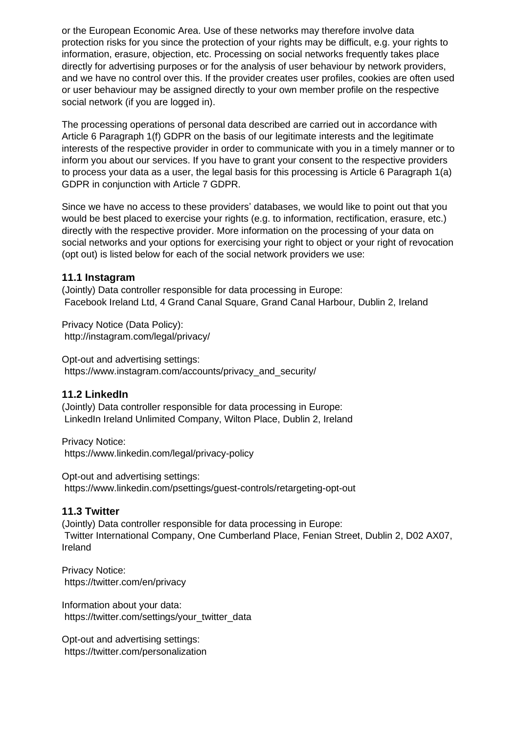or the European Economic Area. Use of these networks may therefore involve data protection risks for you since the protection of your rights may be difficult, e.g. your rights to information, erasure, objection, etc. Processing on social networks frequently takes place directly for advertising purposes or for the analysis of user behaviour by network providers, and we have no control over this. If the provider creates user profiles, cookies are often used or user behaviour may be assigned directly to your own member profile on the respective social network (if you are logged in).

The processing operations of personal data described are carried out in accordance with Article 6 Paragraph 1(f) GDPR on the basis of our legitimate interests and the legitimate interests of the respective provider in order to communicate with you in a timely manner or to inform you about our services. If you have to grant your consent to the respective providers to process your data as a user, the legal basis for this processing is Article 6 Paragraph 1(a) GDPR in conjunction with Article 7 GDPR.

Since we have no access to these providers' databases, we would like to point out that you would be best placed to exercise your rights (e.g. to information, rectification, erasure, etc.) directly with the respective provider. More information on the processing of your data on social networks and your options for exercising your right to object or your right of revocation (opt out) is listed below for each of the social network providers we use:

#### **11.1 Instagram**

(Jointly) Data controller responsible for data processing in Europe: Facebook Ireland Ltd, 4 Grand Canal Square, Grand Canal Harbour, Dublin 2, Ireland

Privacy Notice (Data Policy): http://instagram.com/legal/privacy/

Opt-out and advertising settings: https://www.instagram.com/accounts/privacy\_and\_security/

#### **11.2 LinkedIn**

(Jointly) Data controller responsible for data processing in Europe: LinkedIn Ireland Unlimited Company, Wilton Place, Dublin 2, Ireland

Privacy Notice: https://www.linkedin.com/legal/privacy-policy

Opt-out and advertising settings: https://www.linkedin.com/psettings/guest-controls/retargeting-opt-out

#### **11.3 Twitter**

(Jointly) Data controller responsible for data processing in Europe: Twitter International Company, One Cumberland Place, Fenian Street, Dublin 2, D02 AX07, Ireland

Privacy Notice: https://twitter.com/en/privacy

Information about your data: https://twitter.com/settings/your\_twitter\_data

Opt-out and advertising settings: https://twitter.com/personalization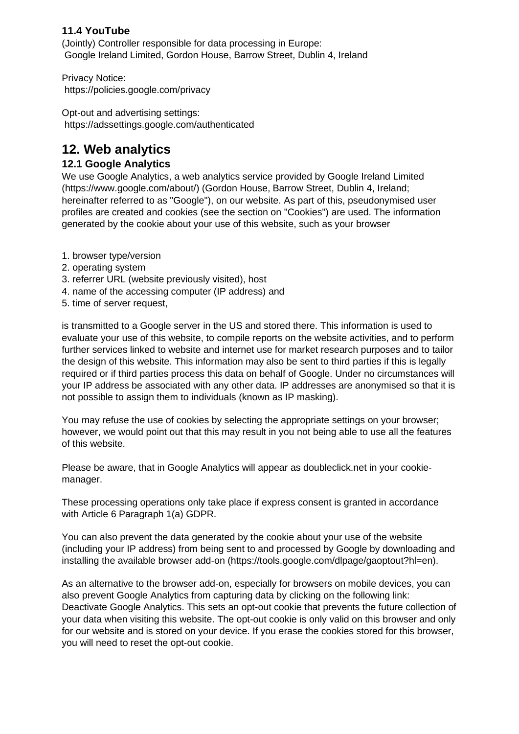## **11.4 YouTube**

(Jointly) Controller responsible for data processing in Europe: Google Ireland Limited, Gordon House, Barrow Street, Dublin 4, Ireland

Privacy Notice: https://policies.google.com/privacy

Opt-out and advertising settings: https://adssettings.google.com/authenticated

## **12. Web analytics**

## **12.1 Google Analytics**

We use Google Analytics, a web analytics service provided by Google Ireland Limited (https://www.google.com/about/) (Gordon House, Barrow Street, Dublin 4, Ireland; hereinafter referred to as "Google"), on our website. As part of this, pseudonymised user profiles are created and cookies (see the section on "Cookies") are used. The information generated by the cookie about your use of this website, such as your browser

- 1. browser type/version
- 2. operating system
- 3. referrer URL (website previously visited), host
- 4. name of the accessing computer (IP address) and
- 5. time of server request,

is transmitted to a Google server in the US and stored there. This information is used to evaluate your use of this website, to compile reports on the website activities, and to perform further services linked to website and internet use for market research purposes and to tailor the design of this website. This information may also be sent to third parties if this is legally required or if third parties process this data on behalf of Google. Under no circumstances will your IP address be associated with any other data. IP addresses are anonymised so that it is not possible to assign them to individuals (known as IP masking).

You may refuse the use of cookies by selecting the appropriate settings on your browser; however, we would point out that this may result in you not being able to use all the features of this website.

Please be aware, that in Google Analytics will appear as doubleclick.net in your cookiemanager.

These processing operations only take place if express consent is granted in accordance with Article 6 Paragraph 1(a) GDPR.

You can also prevent the data generated by the cookie about your use of the website (including your IP address) from being sent to and processed by Google by downloading and installing the available browser add-on (https://tools.google.com/dlpage/gaoptout?hl=en).

As an alternative to the browser add-on, especially for browsers on mobile devices, you can also prevent Google Analytics from capturing data by clicking on the following link: Deactivate Google Analytics. This sets an opt-out cookie that prevents the future collection of your data when visiting this website. The opt-out cookie is only valid on this browser and only for our website and is stored on your device. If you erase the cookies stored for this browser, you will need to reset the opt-out cookie.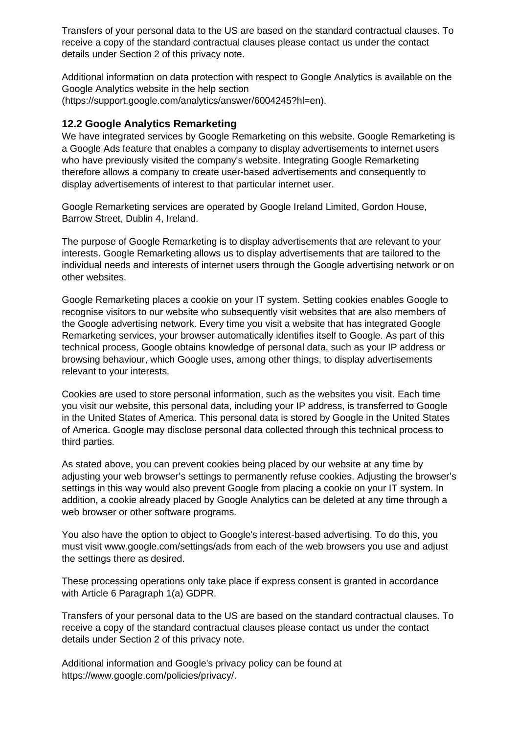Transfers of your personal data to the US are based on the standard contractual clauses. To receive a copy of the standard contractual clauses please contact us under the contact details under Section 2 of this privacy note.

Additional information on data protection with respect to Google Analytics is available on the Google Analytics website in the help section (https://support.google.com/analytics/answer/6004245?hl=en).

#### **12.2 Google Analytics Remarketing**

We have integrated services by Google Remarketing on this website. Google Remarketing is a Google Ads feature that enables a company to display advertisements to internet users who have previously visited the company's website. Integrating Google Remarketing therefore allows a company to create user-based advertisements and consequently to display advertisements of interest to that particular internet user.

Google Remarketing services are operated by Google Ireland Limited, Gordon House, Barrow Street, Dublin 4, Ireland.

The purpose of Google Remarketing is to display advertisements that are relevant to your interests. Google Remarketing allows us to display advertisements that are tailored to the individual needs and interests of internet users through the Google advertising network or on other websites.

Google Remarketing places a cookie on your IT system. Setting cookies enables Google to recognise visitors to our website who subsequently visit websites that are also members of the Google advertising network. Every time you visit a website that has integrated Google Remarketing services, your browser automatically identifies itself to Google. As part of this technical process, Google obtains knowledge of personal data, such as your IP address or browsing behaviour, which Google uses, among other things, to display advertisements relevant to your interests.

Cookies are used to store personal information, such as the websites you visit. Each time you visit our website, this personal data, including your IP address, is transferred to Google in the United States of America. This personal data is stored by Google in the United States of America. Google may disclose personal data collected through this technical process to third parties.

As stated above, you can prevent cookies being placed by our website at any time by adjusting your web browser's settings to permanently refuse cookies. Adjusting the browser's settings in this way would also prevent Google from placing a cookie on your IT system. In addition, a cookie already placed by Google Analytics can be deleted at any time through a web browser or other software programs.

You also have the option to object to Google's interest-based advertising. To do this, you must visit www.google.com/settings/ads from each of the web browsers you use and adjust the settings there as desired.

These processing operations only take place if express consent is granted in accordance with Article 6 Paragraph 1(a) GDPR.

Transfers of your personal data to the US are based on the standard contractual clauses. To receive a copy of the standard contractual clauses please contact us under the contact details under Section 2 of this privacy note.

Additional information and Google's privacy policy can be found at https://www.google.com/policies/privacy/.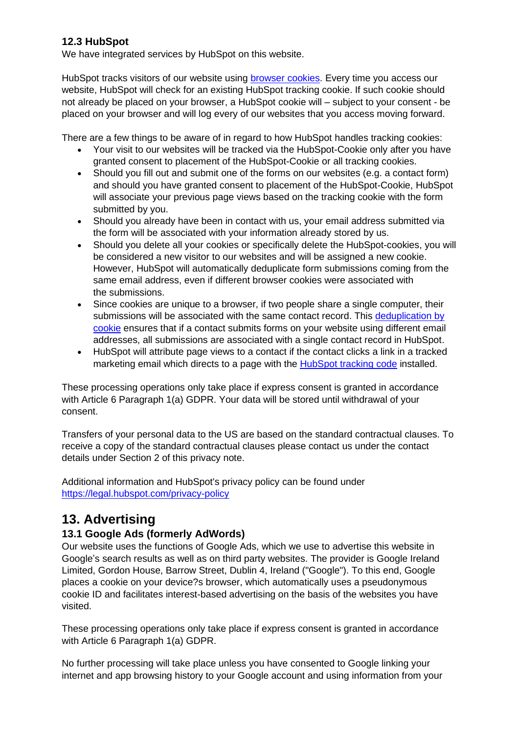## **12.3 HubSpot**

We have integrated services by HubSpot on this website.

HubSpot tracks visitors of our website using [browser cookies.](https://knowledge.hubspot.com/articles/kcs_article/reports/what-cookies-does-hubspot-set-in-a-visitor-s-browser) Every time you access our website, HubSpot will check for an existing HubSpot tracking cookie. If such cookie should not already be placed on your browser, a HubSpot cookie will – subject to your consent - be placed on your browser and will log every of our websites that you access moving forward.

There are a few things to be aware of in regard to how HubSpot handles tracking cookies:

- Your visit to our websites will be tracked via the HubSpot-Cookie only after you have granted consent to placement of the HubSpot-Cookie or all tracking cookies.
- Should you fill out and submit one of the forms on our websites (e.g. a contact form) and should you have granted consent to placement of the HubSpot-Cookie, HubSpot will associate your previous page views based on the tracking cookie with the form submitted by you.
- Should you already have been in contact with us, your email address submitted via the form will be associated with your information already stored by us.
- Should you delete all your cookies or specifically delete the HubSpot-cookies, you will be considered a new visitor to our websites and will be assigned a new cookie. However, HubSpot will automatically deduplicate form submissions coming from the same email address, even if different browser cookies were associated with the submissions.
- Since cookies are unique to a browser, if two people share a single computer, their submissions will be associated with the same contact record. This deduplication by [cookie](https://knowledge.hubspot.com/articles/kcs_article/contacts/how-does-hubspot-deduplicate-contacts) ensures that if a contact submits forms on your website using different email addresses, all submissions are associated with a single contact record in HubSpot.
- HubSpot will attribute page views to a contact if the contact clicks a link in a tracked marketing email which directs to a page with the [HubSpot tracking code](https://knowledge.hubspot.com/articles/kcs_article/reports/how-do-i-install-the-hubspot-tracking-code-on-my-website) installed.

These processing operations only take place if express consent is granted in accordance with Article 6 Paragraph 1(a) GDPR. Your data will be stored until withdrawal of your consent.

Transfers of your personal data to the US are based on the standard contractual clauses. To receive a copy of the standard contractual clauses please contact us under the contact details under Section 2 of this privacy note.

Additional information and HubSpot's privacy policy can be found under <https://legal.hubspot.com/privacy-policy>

## **13. Advertising**

## **13.1 Google Ads (formerly AdWords)**

Our website uses the functions of Google Ads, which we use to advertise this website in Google's search results as well as on third party websites. The provider is Google Ireland Limited, Gordon House, Barrow Street, Dublin 4, Ireland ("Google"). To this end, Google places a cookie on your device?s browser, which automatically uses a pseudonymous cookie ID and facilitates interest-based advertising on the basis of the websites you have visited.

These processing operations only take place if express consent is granted in accordance with Article 6 Paragraph 1(a) GDPR.

No further processing will take place unless you have consented to Google linking your internet and app browsing history to your Google account and using information from your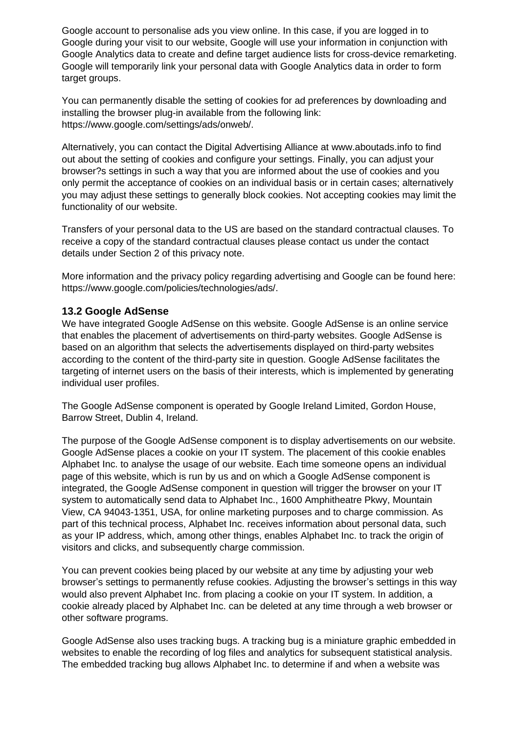Google account to personalise ads you view online. In this case, if you are logged in to Google during your visit to our website, Google will use your information in conjunction with Google Analytics data to create and define target audience lists for cross-device remarketing. Google will temporarily link your personal data with Google Analytics data in order to form target groups.

You can permanently disable the setting of cookies for ad preferences by downloading and installing the browser plug-in available from the following link: https://www.google.com/settings/ads/onweb/.

Alternatively, you can contact the Digital Advertising Alliance at www.aboutads.info to find out about the setting of cookies and configure your settings. Finally, you can adjust your browser?s settings in such a way that you are informed about the use of cookies and you only permit the acceptance of cookies on an individual basis or in certain cases; alternatively you may adjust these settings to generally block cookies. Not accepting cookies may limit the functionality of our website.

Transfers of your personal data to the US are based on the standard contractual clauses. To receive a copy of the standard contractual clauses please contact us under the contact details under Section 2 of this privacy note.

More information and the privacy policy regarding advertising and Google can be found here: https://www.google.com/policies/technologies/ads/.

#### **13.2 Google AdSense**

We have integrated Google AdSense on this website. Google AdSense is an online service that enables the placement of advertisements on third-party websites. Google AdSense is based on an algorithm that selects the advertisements displayed on third-party websites according to the content of the third-party site in question. Google AdSense facilitates the targeting of internet users on the basis of their interests, which is implemented by generating individual user profiles.

The Google AdSense component is operated by Google Ireland Limited, Gordon House, Barrow Street, Dublin 4, Ireland.

The purpose of the Google AdSense component is to display advertisements on our website. Google AdSense places a cookie on your IT system. The placement of this cookie enables Alphabet Inc. to analyse the usage of our website. Each time someone opens an individual page of this website, which is run by us and on which a Google AdSense component is integrated, the Google AdSense component in question will trigger the browser on your IT system to automatically send data to Alphabet Inc., 1600 Amphitheatre Pkwy, Mountain View, CA 94043-1351, USA, for online marketing purposes and to charge commission. As part of this technical process, Alphabet Inc. receives information about personal data, such as your IP address, which, among other things, enables Alphabet Inc. to track the origin of visitors and clicks, and subsequently charge commission.

You can prevent cookies being placed by our website at any time by adjusting your web browser's settings to permanently refuse cookies. Adjusting the browser's settings in this way would also prevent Alphabet Inc. from placing a cookie on your IT system. In addition, a cookie already placed by Alphabet Inc. can be deleted at any time through a web browser or other software programs.

Google AdSense also uses tracking bugs. A tracking bug is a miniature graphic embedded in websites to enable the recording of log files and analytics for subsequent statistical analysis. The embedded tracking bug allows Alphabet Inc. to determine if and when a website was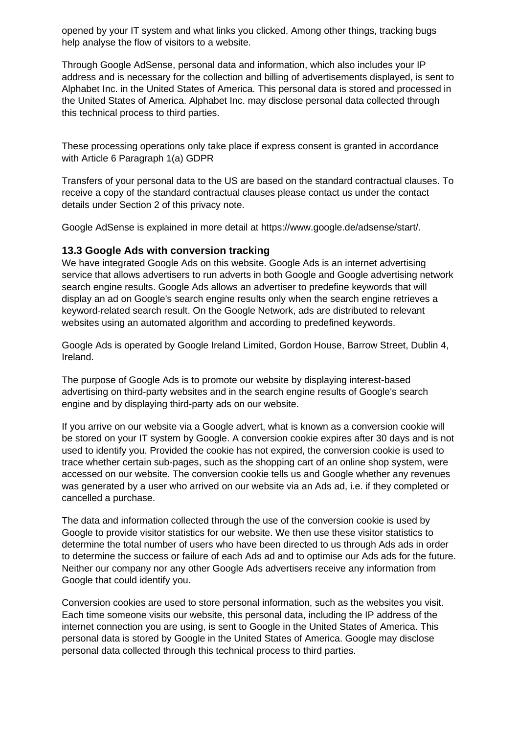opened by your IT system and what links you clicked. Among other things, tracking bugs help analyse the flow of visitors to a website.

Through Google AdSense, personal data and information, which also includes your IP address and is necessary for the collection and billing of advertisements displayed, is sent to Alphabet Inc. in the United States of America. This personal data is stored and processed in the United States of America. Alphabet Inc. may disclose personal data collected through this technical process to third parties.

These processing operations only take place if express consent is granted in accordance with Article 6 Paragraph 1(a) GDPR

Transfers of your personal data to the US are based on the standard contractual clauses. To receive a copy of the standard contractual clauses please contact us under the contact details under Section 2 of this privacy note.

Google AdSense is explained in more detail at https://www.google.de/adsense/start/.

#### **13.3 Google Ads with conversion tracking**

We have integrated Google Ads on this website. Google Ads is an internet advertising service that allows advertisers to run adverts in both Google and Google advertising network search engine results. Google Ads allows an advertiser to predefine keywords that will display an ad on Google's search engine results only when the search engine retrieves a keyword-related search result. On the Google Network, ads are distributed to relevant websites using an automated algorithm and according to predefined keywords.

Google Ads is operated by Google Ireland Limited, Gordon House, Barrow Street, Dublin 4, Ireland.

The purpose of Google Ads is to promote our website by displaying interest-based advertising on third-party websites and in the search engine results of Google's search engine and by displaying third-party ads on our website.

If you arrive on our website via a Google advert, what is known as a conversion cookie will be stored on your IT system by Google. A conversion cookie expires after 30 days and is not used to identify you. Provided the cookie has not expired, the conversion cookie is used to trace whether certain sub-pages, such as the shopping cart of an online shop system, were accessed on our website. The conversion cookie tells us and Google whether any revenues was generated by a user who arrived on our website via an Ads ad, i.e. if they completed or cancelled a purchase.

The data and information collected through the use of the conversion cookie is used by Google to provide visitor statistics for our website. We then use these visitor statistics to determine the total number of users who have been directed to us through Ads ads in order to determine the success or failure of each Ads ad and to optimise our Ads ads for the future. Neither our company nor any other Google Ads advertisers receive any information from Google that could identify you.

Conversion cookies are used to store personal information, such as the websites you visit. Each time someone visits our website, this personal data, including the IP address of the internet connection you are using, is sent to Google in the United States of America. This personal data is stored by Google in the United States of America. Google may disclose personal data collected through this technical process to third parties.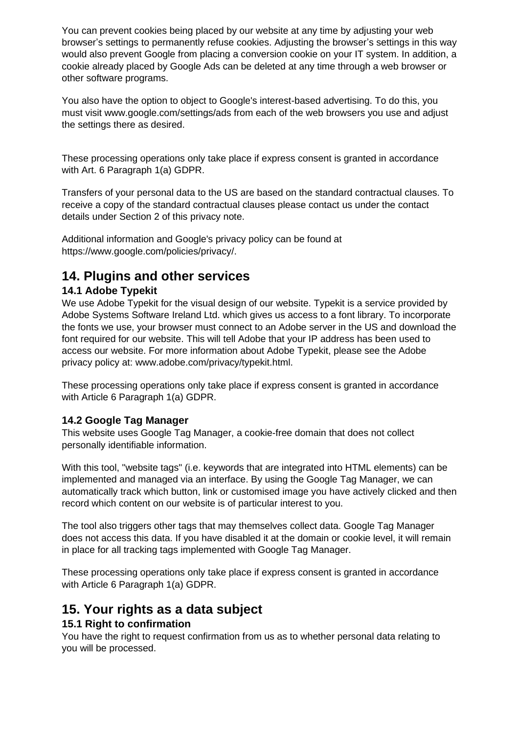You can prevent cookies being placed by our website at any time by adjusting your web browser's settings to permanently refuse cookies. Adjusting the browser's settings in this way would also prevent Google from placing a conversion cookie on your IT system. In addition, a cookie already placed by Google Ads can be deleted at any time through a web browser or other software programs.

You also have the option to object to Google's interest-based advertising. To do this, you must visit www.google.com/settings/ads from each of the web browsers you use and adjust the settings there as desired.

These processing operations only take place if express consent is granted in accordance with Art. 6 Paragraph 1(a) GDPR.

Transfers of your personal data to the US are based on the standard contractual clauses. To receive a copy of the standard contractual clauses please contact us under the contact details under Section 2 of this privacy note.

Additional information and Google's privacy policy can be found at https://www.google.com/policies/privacy/.

## **14. Plugins and other services**

## **14.1 Adobe Typekit**

We use Adobe Typekit for the visual design of our website. Typekit is a service provided by Adobe Systems Software Ireland Ltd. which gives us access to a font library. To incorporate the fonts we use, your browser must connect to an Adobe server in the US and download the font required for our website. This will tell Adobe that your IP address has been used to access our website. For more information about Adobe Typekit, please see the Adobe privacy policy at: www.adobe.com/privacy/typekit.html.

These processing operations only take place if express consent is granted in accordance with Article 6 Paragraph 1(a) GDPR.

## **14.2 Google Tag Manager**

This website uses Google Tag Manager, a cookie-free domain that does not collect personally identifiable information.

With this tool, "website tags" (i.e. keywords that are integrated into HTML elements) can be implemented and managed via an interface. By using the Google Tag Manager, we can automatically track which button, link or customised image you have actively clicked and then record which content on our website is of particular interest to you.

The tool also triggers other tags that may themselves collect data. Google Tag Manager does not access this data. If you have disabled it at the domain or cookie level, it will remain in place for all tracking tags implemented with Google Tag Manager.

These processing operations only take place if express consent is granted in accordance with Article 6 Paragraph 1(a) GDPR.

## **15. Your rights as a data subject**

## **15.1 Right to confirmation**

You have the right to request confirmation from us as to whether personal data relating to you will be processed.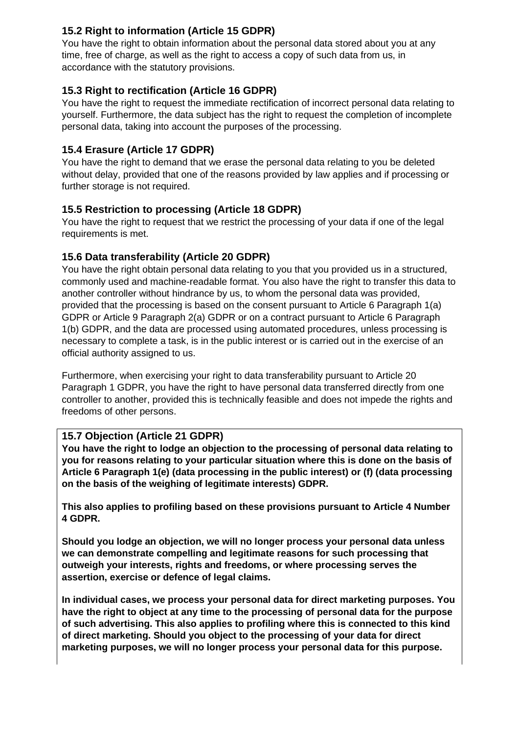## **15.2 Right to information (Article 15 GDPR)**

You have the right to obtain information about the personal data stored about you at any time, free of charge, as well as the right to access a copy of such data from us, in accordance with the statutory provisions.

## **15.3 Right to rectification (Article 16 GDPR)**

You have the right to request the immediate rectification of incorrect personal data relating to yourself. Furthermore, the data subject has the right to request the completion of incomplete personal data, taking into account the purposes of the processing.

## **15.4 Erasure (Article 17 GDPR)**

You have the right to demand that we erase the personal data relating to you be deleted without delay, provided that one of the reasons provided by law applies and if processing or further storage is not required.

## **15.5 Restriction to processing (Article 18 GDPR)**

You have the right to request that we restrict the processing of your data if one of the legal requirements is met.

## **15.6 Data transferability (Article 20 GDPR)**

You have the right obtain personal data relating to you that you provided us in a structured, commonly used and machine-readable format. You also have the right to transfer this data to another controller without hindrance by us, to whom the personal data was provided, provided that the processing is based on the consent pursuant to Article 6 Paragraph 1(a) GDPR or Article 9 Paragraph 2(a) GDPR or on a contract pursuant to Article 6 Paragraph 1(b) GDPR, and the data are processed using automated procedures, unless processing is necessary to complete a task, is in the public interest or is carried out in the exercise of an official authority assigned to us.

Furthermore, when exercising your right to data transferability pursuant to Article 20 Paragraph 1 GDPR, you have the right to have personal data transferred directly from one controller to another, provided this is technically feasible and does not impede the rights and freedoms of other persons.

## **15.7 Objection (Article 21 GDPR)**

**You have the right to lodge an objection to the processing of personal data relating to you for reasons relating to your particular situation where this is done on the basis of Article 6 Paragraph 1(e) (data processing in the public interest) or (f) (data processing on the basis of the weighing of legitimate interests) GDPR.**

**This also applies to profiling based on these provisions pursuant to Article 4 Number 4 GDPR.**

**Should you lodge an objection, we will no longer process your personal data unless we can demonstrate compelling and legitimate reasons for such processing that outweigh your interests, rights and freedoms, or where processing serves the assertion, exercise or defence of legal claims.**

**In individual cases, we process your personal data for direct marketing purposes. You have the right to object at any time to the processing of personal data for the purpose of such advertising. This also applies to profiling where this is connected to this kind of direct marketing. Should you object to the processing of your data for direct marketing purposes, we will no longer process your personal data for this purpose.**